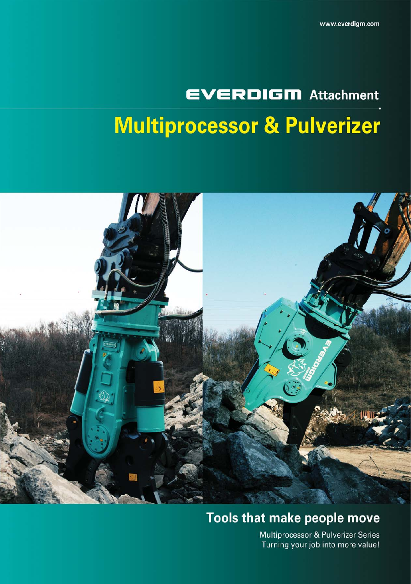# **EVERDIGM** Attachment **Multiprocessor & Pulverizer**



## Tools that make people move

Multiprocessor & Pulverizer Series Turning your job into more value!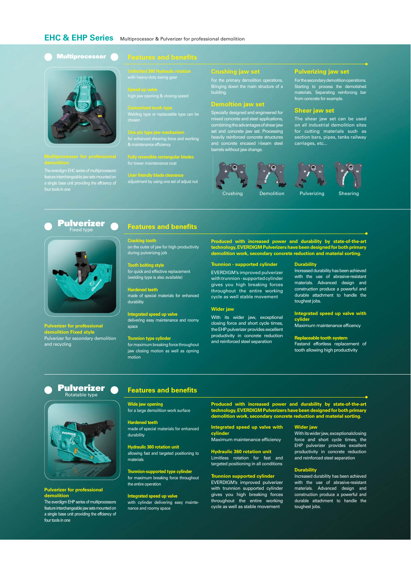#### **Multiprocessor**



The everdigm EHC series of multiprocessors feature interchangeable jaw sets mounted on a single base unit providing the effciency of

high jaw opening & closing speed

Welding type or replaceable type can be

for enhanced shearing force and working & maintenance efficiency

**Fully reversible rectangular blades** for lower maintenance cost

**User friendly blade clearance** adjustment by using one set of adjust nut

#### **Crushing jaw set**

For the primary demolition operations. Bringing down the main structure of a building.

#### **Demoltion jaw set**

Specially designed and engineered for mixed concrete and steel applications, combining the advantages of shear jaw set and concrete jaw set. Processing heavily reinforced concrete structures and concrete encased i-beam steel barrels without jaw change.





 $^{\prime}$ o $\cdot$ 

carriages, etc...

The shear jaw set can be used on all industrial demolition sites for cutting materials such as section bars, pipes, tanks railway

**Pulverizing jaw set** For the secondary demolition operations. Starting to process the demolished materials. Separating reinforcing bar from concrete for example. **Shear jaw set**

### **Pulverizer** Fixed type



**Pulverizer for professional demolition Fixed style**  Pulverizer for secondary demolition and recycling

#### **Features and benefits**

**Cracking tooth** on the outer of jaw for high productivity during pulverizing job

**Tooth bolting style** for quick and effective replacement (welding type is also available)

**Hardened teeth** made of special materials for enhanced durability

**Integrated speed up valve** delivering easy maintenance and roomy space

**Trunnion type cylinder** for maximum breaking force throughout jaw closing motion as well as opning motion

**Produced with increased power and durability by state-of-the-art technology, EVERDIGM Pulverizers have been designed for both primary demolition work, secondary concrete reduction and material sorting.**

#### **Trunnion - supported cylinder**

EVERDIGM's improved pulverizer with trunnion - supported cylinder gives you high breaking forces throughout the entire working cycle as well stable movement

#### **Wider jaw**

With its wider jaw, exceptional closing force and short cycle times, the EHP pulverizer provides excellent productivity in concrete reduction and reinforced steel separation

#### **Durability**

Increased durability has been achieved with the use of abrasive-resistant materials. Advanced design and construction produce a powerful and durable attachment to handle the toughest jobs.

#### **Integrated speed up valve with cylider**

Maximum maintenance efficency

**Replaceable tooth system**

Fastand effortless replacement of tooth allowing high productivity

#### **Pulverizer** Rotatable type



#### **Pulverizer for professional demolition**

The everdigm EHP series of multiprocessors feature interchangeable jaw sets mounted on a single base unit providing the effciency of four tools in one

## **Features and benefits**

**Wide jaw opening** for a large demolition work surface

**Hardened teeth** made of special materials for enhanced durability

**Hydraulic 360 rotation unit** allowing fast and targeted positioning to materials

**Trunnion-supported type cylinder** for maximum breaking force throughout the entire operation

**Integrated speed up valve** with cylinder delivering easy maintenance and roomy space

**Produced with increased power and durability by state-of-the-art technology, EVERDIGM Pulverizers have been designed for both primary demolition work, secondary concrete reduction and material sorting.**

**Integrated speed up valve with cylinder** Maximum maintenance efficiency

**Hydraulic 360 rotation unit**

Limitless rotation for fast and targeted positioning in all conditions

#### **Trunnion supported cylinder**

EVERDIGM's improved pulverizer with trunnion supported cylinder gives you high breaking forces throughout the entire working cycle as well as stable movement

#### **Wider jaw**

With its wider jaw, exceptionalclosing force and short cycle times, the EHP pulverizer provides excellent productivity in concrete reduction and reinforced steel separation

#### **Durability**

Increased durability has been achieved with the use of abrasive-resistant materials. Advanced design and construction produce a powerful and durable attachment to handle the toughest jobs.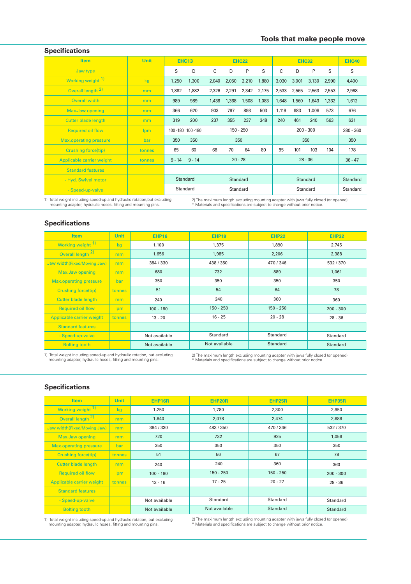## **Specifications**

| <b>Item</b>                                                                                                                                                                                                                    | <b>Unit</b> |          | <b>EHC13</b>                     | <b>EHC22</b>    |             | <b>EHC32</b>    |       |             | <b>EHC40</b>    |       |       |       |
|--------------------------------------------------------------------------------------------------------------------------------------------------------------------------------------------------------------------------------|-------------|----------|----------------------------------|-----------------|-------------|-----------------|-------|-------------|-----------------|-------|-------|-------|
| Jaw type                                                                                                                                                                                                                       |             | S        | D                                | C               | D           | P               | S     | C           | D               | P     | S     | S     |
| Working weight <sup>1)</sup>                                                                                                                                                                                                   | kg          | 1,250    | 1,300                            | 2,040           | 2,050       | 2,210           | 1,880 | 3,030       | 3,001           | 3,130 | 2,990 | 4,400 |
| Overall length 2)                                                                                                                                                                                                              | mm          | 1,882    | 1,882                            | 2,326           | 2,291       | 2,342           | 2,175 | 2,533       | 2,565           | 2,563 | 2,553 | 2,968 |
| Overall width                                                                                                                                                                                                                  | mm          | 989      | 989                              | 1,438           | 1,368       | 1,508           | 1,083 | 1,648       | 1,560           | 1,643 | 1,332 | 1,612 |
| Max.Jaw opening                                                                                                                                                                                                                | mm          | 366      | 620                              | 903             | 797         | 893             | 503   | 1.119       | 983             | 1,008 | 573   | 676   |
| <b>Cutter blade length</b>                                                                                                                                                                                                     | mm          | 319      | 200                              | 237             | 355         | 237             | 348   | 240         | 461             | 240   | 563   | 631   |
| <b>Required oil flow</b>                                                                                                                                                                                                       | <b>lpm</b>  |          | 150 - 250<br>100 - 180 100 - 180 |                 | $200 - 300$ |                 |       | $280 - 360$ |                 |       |       |       |
| <b>Max.operating pressure</b>                                                                                                                                                                                                  | bar         | 350      | 350                              | 350             |             |                 | 350   |             |                 | 350   |       |       |
| <b>Crushing force(tip)</b>                                                                                                                                                                                                     | tonnes      | 65       | 60                               | 68              | 70          | 64              | 80    | 95          | 101             | 103   | 104   | 178   |
| Applicable carrier weight                                                                                                                                                                                                      | tonnes      | $9 - 14$ | $9 - 14$                         | $20 - 28$       |             | $28 - 36$       |       |             | $36 - 47$       |       |       |       |
| <b>Standard features</b>                                                                                                                                                                                                       |             |          |                                  |                 |             |                 |       |             |                 |       |       |       |
| - Hyd. Swivel motor                                                                                                                                                                                                            |             |          | Standard                         | <b>Standard</b> |             | <b>Standard</b> |       |             | <b>Standard</b> |       |       |       |
| - Speed-up-valve                                                                                                                                                                                                               |             |          | Standard                         | Standard        |             | Standard        |       |             | Standard        |       |       |       |
| where the contract of the contract of the contract of the contract of the contract of the contract of the contract of the contract of the contract of the contract of the contract of the contract of the contract of the cont |             |          |                                  |                 |             |                 |       |             |                 |       |       |       |

1) Total weight including speed-up and hydraulic rotation,but excluding mounting adapter, hydraulic hoses, fitting and mounting pins.

2) The maximum length excluding mounting adapter with jaws fully closed (or opened) \* Materials and specifications are subject to change without prior notice.

### **Specifications**

| <b>Item</b>                   | <b>Unit</b>    | <b>EHP16</b>  | <b>EHP19</b>  | <b>EHP22</b> | <b>EHP32</b>    |  |
|-------------------------------|----------------|---------------|---------------|--------------|-----------------|--|
| Working weight <sup>1)</sup>  | kg             | 1,100         | 1,375         | 1,890        | 2,745           |  |
| Overall length <sup>2)</sup>  | mm             | 1,656         | 1,985         | 2,206        | 2,388           |  |
| Jaw width(Fixed/Moving Jaw)   | m <sub>m</sub> | 384 / 330     | 438 / 350     | 470 / 346    | 532/370         |  |
| Max.Jaw opening               | mm             | 680           | 732           | 889          | 1,061           |  |
| <b>Max.operating pressure</b> | bar            | 350           | 350           | 350          | 350             |  |
| <b>Crushing force(tip)</b>    | tonnes         | 51            | 54            | 64           | 78              |  |
| <b>Cutter blade length</b>    | mm             | 240           | 240           | 360          | 360             |  |
| <b>Required oil flow</b>      | lpm            | $100 - 180$   | $150 - 250$   | $150 - 250$  | $200 - 300$     |  |
| Applicable carrier weight     | tonnes         | $13 - 20$     | $16 - 25$     | $20 - 28$    | $28 - 36$       |  |
| <b>Standard features</b>      |                |               |               |              |                 |  |
| - Speed-up-valve              |                | Not available | Standard      | Standard     | Standard        |  |
| <b>Bolting tooth</b>          |                | Not available | Not available | Standard     | <b>Standard</b> |  |

1) Total weight including speed-up and hydraulic rotation, but excluding mounting adapter, hydraulic hoses, fitting and mounting pins.

2) The maximum length excluding mounting adapter with jaws fully closed (or opened) \* Materials and specifications are subject to change without prior notice.

## **Specifications**

| <b>Item</b>                   | <b>Unit</b> | EHP16R        | <b>EHP20R</b> | EHP25R          | <b>EHP35R</b> |
|-------------------------------|-------------|---------------|---------------|-----------------|---------------|
| Working weight 1)             | kg          | 1.250         | 1.780         | 2.300           | 2.950         |
| Overall length <sup>2)</sup>  | mm          | 1,840         | 2,078         | 2,474           | 2,686         |
| Jaw width(Fixed/Moving Jaw)   | mm          | 384 / 330     | 483 / 350     | 470 / 346       | 532 / 370     |
| Max.Jaw opening               | mm          | 720           | 732           | 925             | 1,056         |
| <b>Max.operating pressure</b> | bar         | 350           | 350           | 350             | 350           |
| <b>Crushing force(tip)</b>    | tonnes      | 51            | 56            | 67              | 78            |
| <b>Cutter blade length</b>    | mm          | 240           | 240           | 360             | 360           |
| <b>Required oil flow</b>      | <b>lpm</b>  | $100 - 180$   | $150 - 250$   | $150 - 250$     | $200 - 300$   |
| Applicable carrier weight     | tonnes      | $13 - 16$     | $17 - 25$     | $20 - 27$       | $28 - 36$     |
| <b>Standard features</b>      |             |               |               |                 |               |
| - Speed-up-valve              |             | Not available | Standard      | Standard        | Standard      |
| <b>Bolting tooth</b>          |             | Not available | Not available | <b>Standard</b> | Standard      |

1) Total weight including speed-up and hydraulic rotation, but excluding mounting adapter, hydraulic hoses, fitting and mounting pins.

2) The maximum length excluding mounting adapter with jaws fully closed (or opened) \* Materials and specifications are subject to change without prior notice.